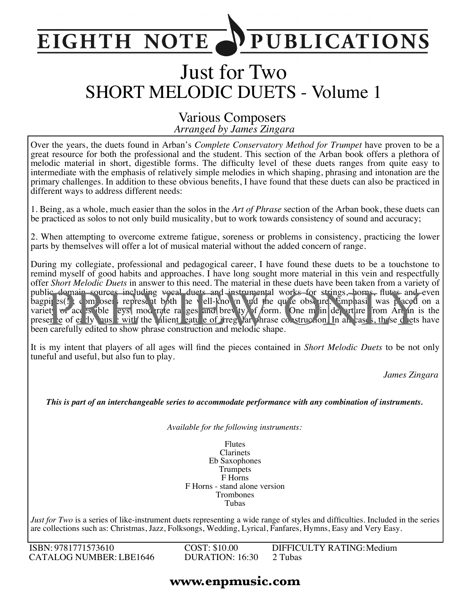#### **PUBLICATIONS EIGHTH NOTE**

# Just for Two SHORT MELODIC DUETS - Volume 1

#### *Arranged by James Zingara* Various Composers

Over the years, the duets found in Arban's *Complete Conservatory Method for Trumpet* have proven to be a great resource for both the professional and the student. This section of the Arban book offers a plethora of melodic material in short, digestible forms. The difficulty level of these duets ranges from quite easy to intermediate with the emphasis of relatively simple melodies in which shaping, phrasing and intonation are the primary challenges. In addition to these obvious benefits, I have found that these duets can also be practiced in different ways to address different needs:

1. Being, as a whole, much easier than the solos in the *Art of Phrase* section of the Arban book, these duets can be practiced as solos to not only build musicality, but to work towards consistency of sound and accuracy;

2. When attempting to overcome extreme fatigue, soreness or problems in consistency, practicing the lower parts by themselves will offer a lot of musical material without the added concern of range.

During my collegiate, professional and pedagogical career, I have found these duets to be a touchstone to remind myself of good habits and approaches. I have long sought more material in this vein and respectfully offer *Short Melodic Duets* in answer to this need. The material in these duets have been taken from a variety of public domain sources including vocal duets and instrumental works for strings, horns, flutes and even bagpit s(!); composers represent both the well-known and the quite obscure. Emphasis was placed on a variety of access ible leys, moderate ranges and brevity of form. One main departure from Arban is the presence of early music with the salient eature of irregular phrase construction. In all cases, these duets have been carefully edited to show phrase construction and melodic shape. ic domain sources including woral duets and instrumental works for strings, horns, flutes and<br>pi es() composed represent both the vell-kno in and the qu'e obse ure. Emplassi was paced<br>et of acc es ible eys, mod rate ra ges

It is my intent that players of all ages will find the pieces contained in *Short Melodic Duets* to be not only tuneful and useful, but also fun to play.

*James Zingara*

*This is part of an interchangeable series to accommodate performance with any combination of instruments.*

*Available for the following instruments:*

Flutes Clarinets Eb Saxophones Trumpets F Horns F Horns - stand alone version Trombones Tubas

*Just for Two* is a series of like-instrument duets representing a wide range of styles and difficulties. Included in the series are collections such as: Christmas, Jazz, Folksongs, Wedding, Lyrical, Fanfares, Hymns, Easy and Very Easy.

ISBN: 9781771573610 CATALOG NUMBER: LBE1646 COST: \$10.00 DURATION: 16:30 DIFFICULTY RATING:Medium 2 Tubas

#### **www.enpmusic.com**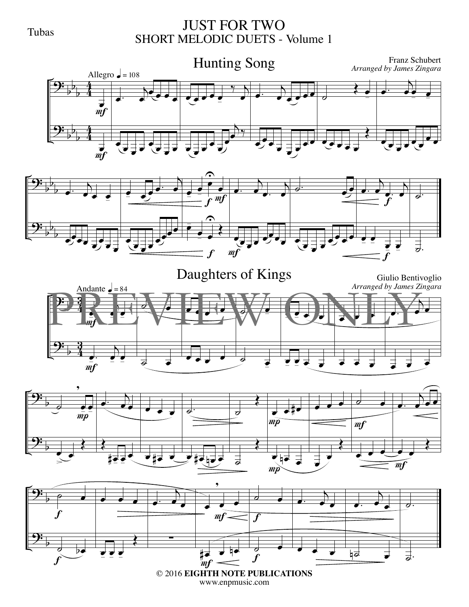#### Tubas

#### JUST FOR TWO SHORT MELODIC DUETS - Volume 1











www.enpmusic.com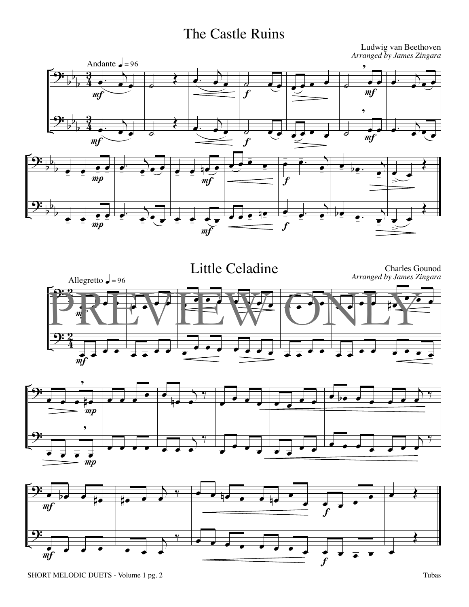## The Castle Ruins

*Arranged by James Zingara* Andante  $\triangle$  = 96 , ,  $\begin{array}{c} \begin{array}{c} \hline \end{array} \end{array}$  $\frac{1}{2}$ <u>្</u>  $\cdot$  ) b  $\cdot$  )  $\overrightarrow{a}$ b  $\frac{3}{4}$  $\frac{1}{\epsilon}$  $\overline{\cdot \cdot \cdot}$  $\overrightarrow{or}$  $\frac{\partial}{\partial \mathbf{e}}$ b è,  $\frac{1}{c}$ f  $m f$  $m f$ , <u>9:</u> <u>3្</u> b  $\begin{array}{|c|c|c|}\hline \textbf{...} & \textbf{...}\\ \hline \end{array}$  $\overline{\cdot}$  $\overline{\blacklozenge}$  $\leftrightarrow$ b  $\frac{3}{4}$ b è,  $\frac{\partial}{\partial x}$  =  $\frac{\partial}{\partial y}$  $\overrightarrow{ }$  $\frac{1}{2}$  $\frac{1}{2}$ .  $\mathcal{F}_{\bullet}$  $\overline{\phantom{a}}$  $\boldsymbol{f}$  $\mathfrak{m}$  $\overline{\phantom{a}}$  $\bullet$   $\bullet$   $\bullet$   $\bullet$  $\frac{1}{2}$ b  $\cdot$  )  $e$ œ  $\bullet$  be:  $\overline{\blacklozenge}$ œ œ. b  $\frac{\bullet}{m\rho}$  $\cdot$   $\cdot$  $e$  + $e$   $m \tbinom{e}{m}$ œ b œ  $\cdot$   $\cdot$ œ œ  $\cdot$   $\cdot$ - œ  $\overline{\bullet}$  $\sum$ -  $\bar{mp}$  $\boldsymbol{f}$  $m<sub>f</sub>$ <u>9:</u> b  $\frac{1}{\epsilon}$   $\frac{1}{\epsilon}$   $\frac{1}{\epsilon}$  $\overline{\blacklozenge}$  $\cdot$   $\cdot$ b œ  $\bullet$   $\bullet$   $\bullet$ b - nœ bœ  $\frac{1}{mp}$ . . <u>.</u> œ  $\frac{1}{2}$  œ  $\cdot$   $\cdot$  œ œ  $\cdot$   $\cdot$  $\cdot$   $\cdot$   $\cdot$  $\overline{\bullet}$  $\sum$ œ  $\overline{\bullet}$  f  $\bar{mp}$  $m\bm{f}$ 







Ludwig van Beethoven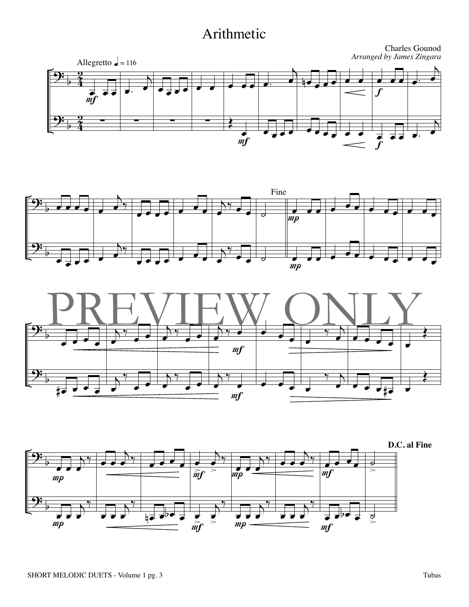#### Arithmetic







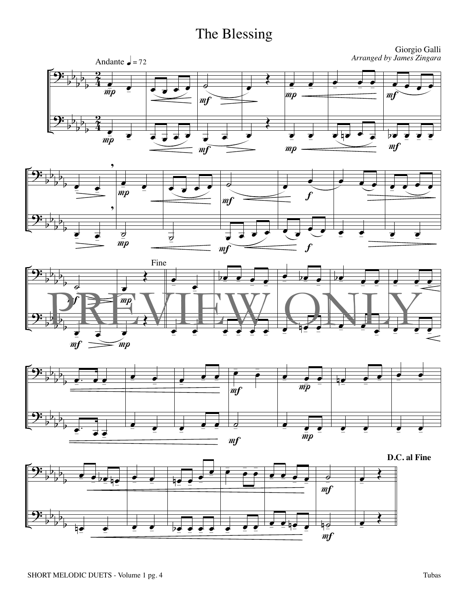## The Blessing









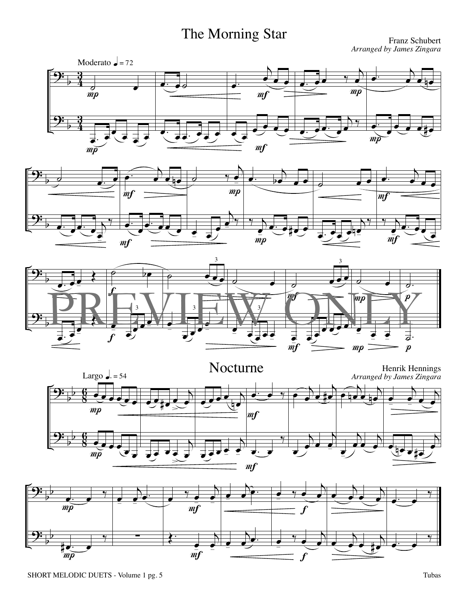# The Morning Star Franz Schubert

*Arranged by James Zingara*









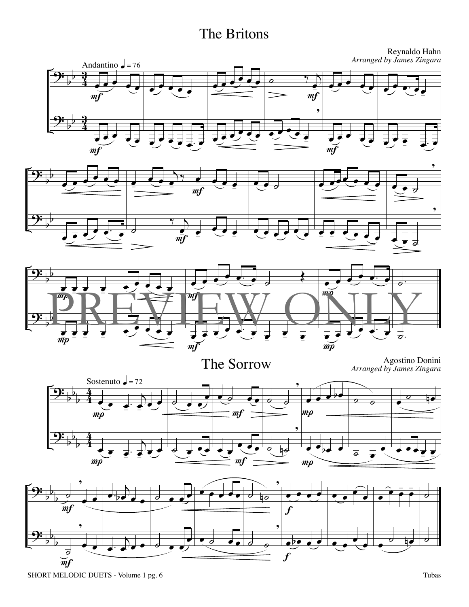## The Britons

Reynaldo Hahn *Arranged by James Zingara*







The Sorrow Agostino Donini *Arranged by James Zingara*



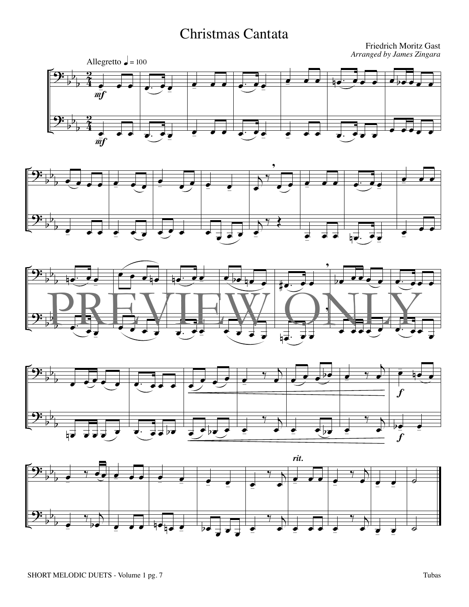## Christmas Cantata

Friedrich Moritz Gast *Arranged by James Zingara*









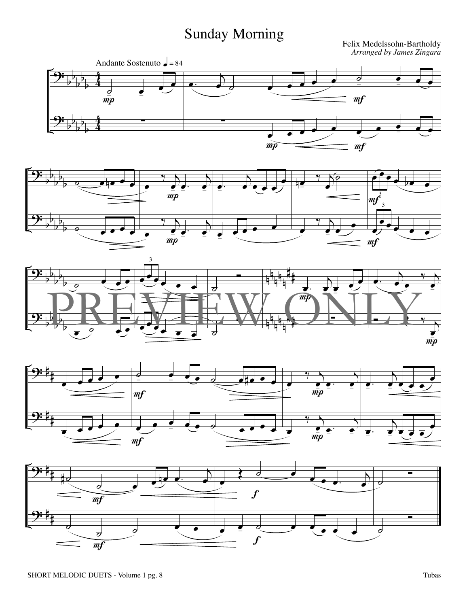## Sunday Morning

*Arranged by James Zingara*









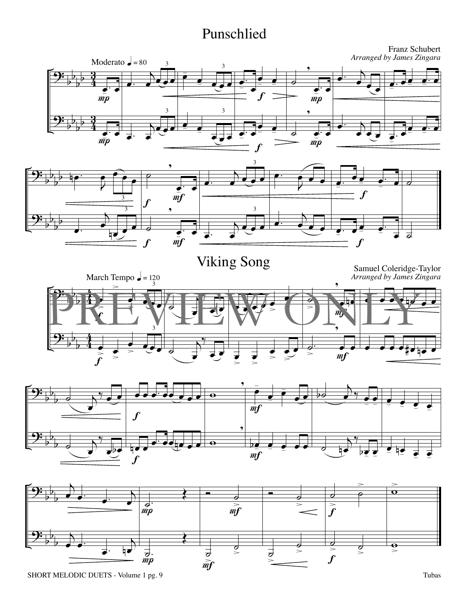#### Punschlied

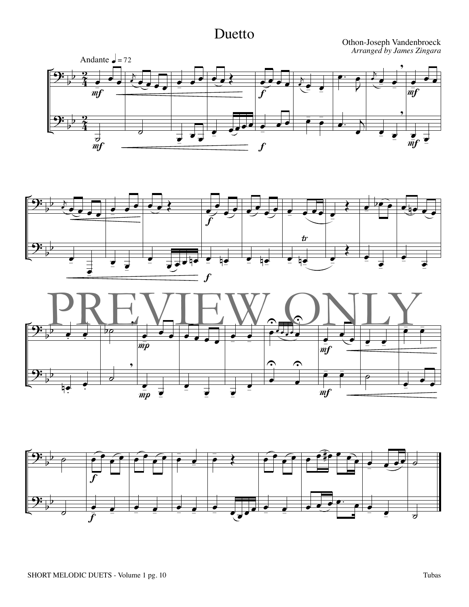#### Duetto

Othon-Joseph Vandenbroeck *Arranged by James Zingara*







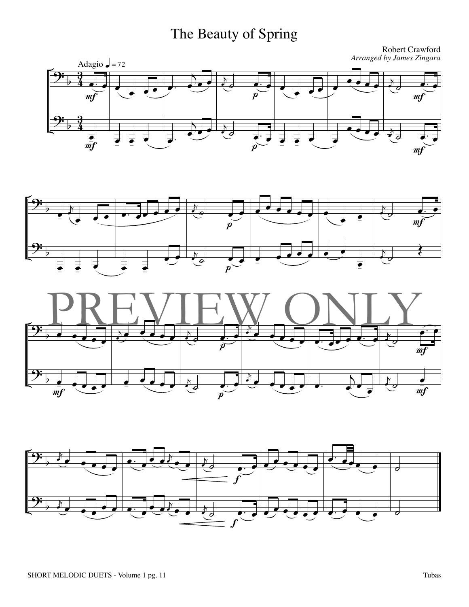# The Beauty of Spring

Robert Crawford *Arranged by James Zingara*







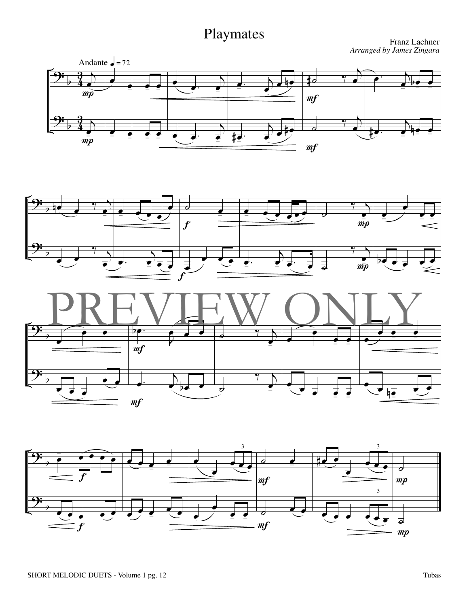Playmates Franz Lachner *Arranged by James Zingara*







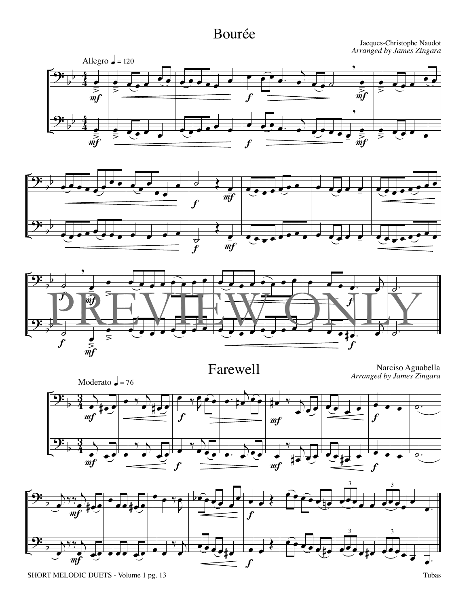## Bourée

Jacques-Christophe Naudot *Arranged by James Zingara*







Farewell Narciso Aguabella *Arranged by James Zingara*



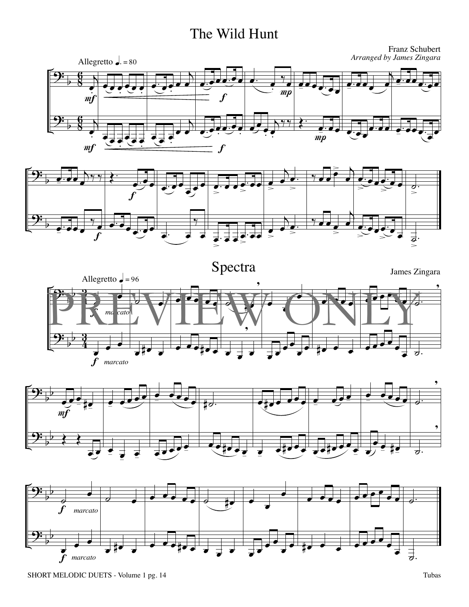#### The Wild Hunt